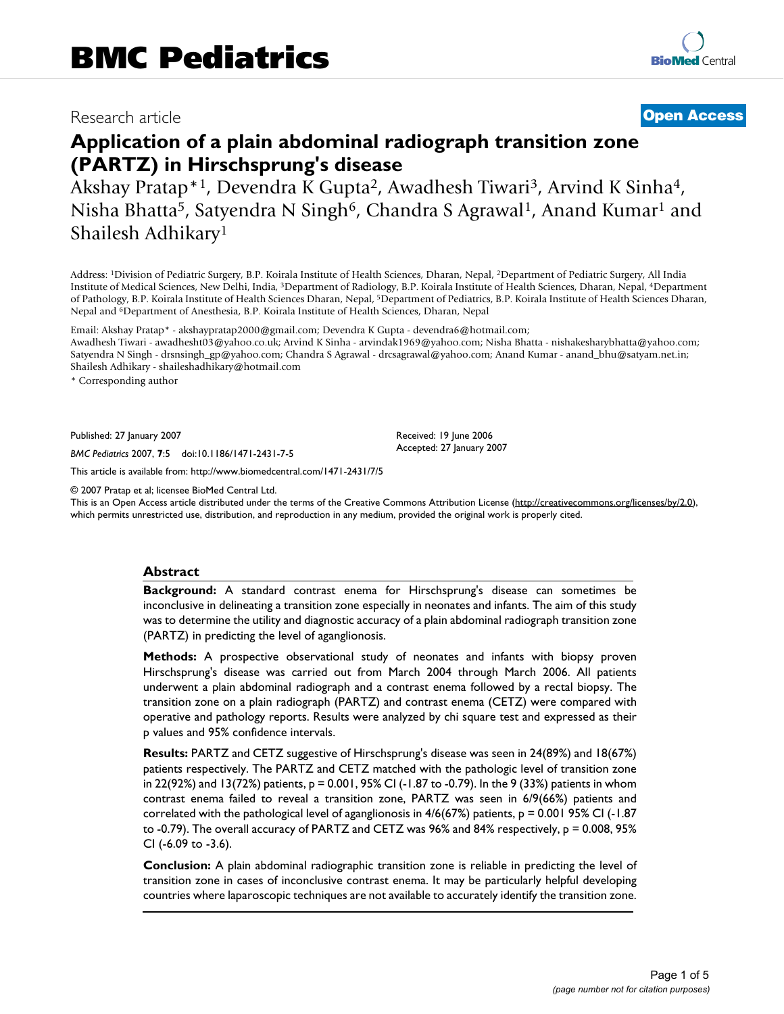## Research article **[Open Access](http://www.biomedcentral.com/info/about/charter/)**

# **Application of a plain abdominal radiograph transition zone (PARTZ) in Hirschsprung's disease**

Akshay Pratap\*1, Devendra K Gupta2, Awadhesh Tiwari3, Arvind K Sinha4, Nisha Bhatta<sup>5</sup>, Satyendra N Singh<sup>6</sup>, Chandra S Agrawal<sup>1</sup>, Anand Kumar<sup>1</sup> and Shailesh Adhikary1

Address: 1Division of Pediatric Surgery, B.P. Koirala Institute of Health Sciences, Dharan, Nepal, 2Department of Pediatric Surgery, All India Institute of Medical Sciences, New Delhi, India, 3Department of Radiology, B.P. Koirala Institute of Health Sciences, Dharan, Nepal, 4Department of Pathology, B.P. Koirala Institute of Health Sciences Dharan, Nepal, 5Department of Pediatrics, B.P. Koirala Institute of Health Sciences Dharan, Nepal and 6Department of Anesthesia, B.P. Koirala Institute of Health Sciences, Dharan, Nepal

Email: Akshay Pratap\* - akshaypratap2000@gmail.com; Devendra K Gupta - devendra6@hotmail.com; Awadhesh Tiwari - awadhesht03@yahoo.co.uk; Arvind K Sinha - arvindak1969@yahoo.com; Nisha Bhatta - nishakesharybhatta@yahoo.com; Satyendra N Singh - drsnsingh\_gp@yahoo.com; Chandra S Agrawal - drcsagrawal@yahoo.com; Anand Kumar - anand\_bhu@satyam.net.in; Shailesh Adhikary - shaileshadhikary@hotmail.com

\* Corresponding author

Published: 27 January 2007

*BMC Pediatrics* 2007, **7**:5 doi:10.1186/1471-2431-7-5

[This article is available from: http://www.biomedcentral.com/1471-2431/7/5](http://www.biomedcentral.com/1471-2431/7/5)

© 2007 Pratap et al; licensee BioMed Central Ltd.

This is an Open Access article distributed under the terms of the Creative Commons Attribution License [\(http://creativecommons.org/licenses/by/2.0\)](http://creativecommons.org/licenses/by/2.0), which permits unrestricted use, distribution, and reproduction in any medium, provided the original work is properly cited.

Received: 19 June 2006 Accepted: 27 January 2007

#### **Abstract**

**Background:** A standard contrast enema for Hirschsprung's disease can sometimes be inconclusive in delineating a transition zone especially in neonates and infants. The aim of this study was to determine the utility and diagnostic accuracy of a plain abdominal radiograph transition zone (PARTZ) in predicting the level of aganglionosis.

**Methods:** A prospective observational study of neonates and infants with biopsy proven Hirschsprung's disease was carried out from March 2004 through March 2006. All patients underwent a plain abdominal radiograph and a contrast enema followed by a rectal biopsy. The transition zone on a plain radiograph (PARTZ) and contrast enema (CETZ) were compared with operative and pathology reports. Results were analyzed by chi square test and expressed as their p values and 95% confidence intervals.

**Results:** PARTZ and CETZ suggestive of Hirschsprung's disease was seen in 24(89%) and 18(67%) patients respectively. The PARTZ and CETZ matched with the pathologic level of transition zone in 22(92%) and 13(72%) patients, p = 0.001, 95% CI (-1.87 to -0.79). In the 9 (33%) patients in whom contrast enema failed to reveal a transition zone, PARTZ was seen in 6/9(66%) patients and correlated with the pathological level of aganglionosis in 4/6(67%) patients, p = 0.001 95% CI (-1.87 to -0.79). The overall accuracy of PARTZ and CETZ was 96% and 84% respectively,  $p = 0.008$ , 95% CI (-6.09 to -3.6).

**Conclusion:** A plain abdominal radiographic transition zone is reliable in predicting the level of transition zone in cases of inconclusive contrast enema. It may be particularly helpful developing countries where laparoscopic techniques are not available to accurately identify the transition zone.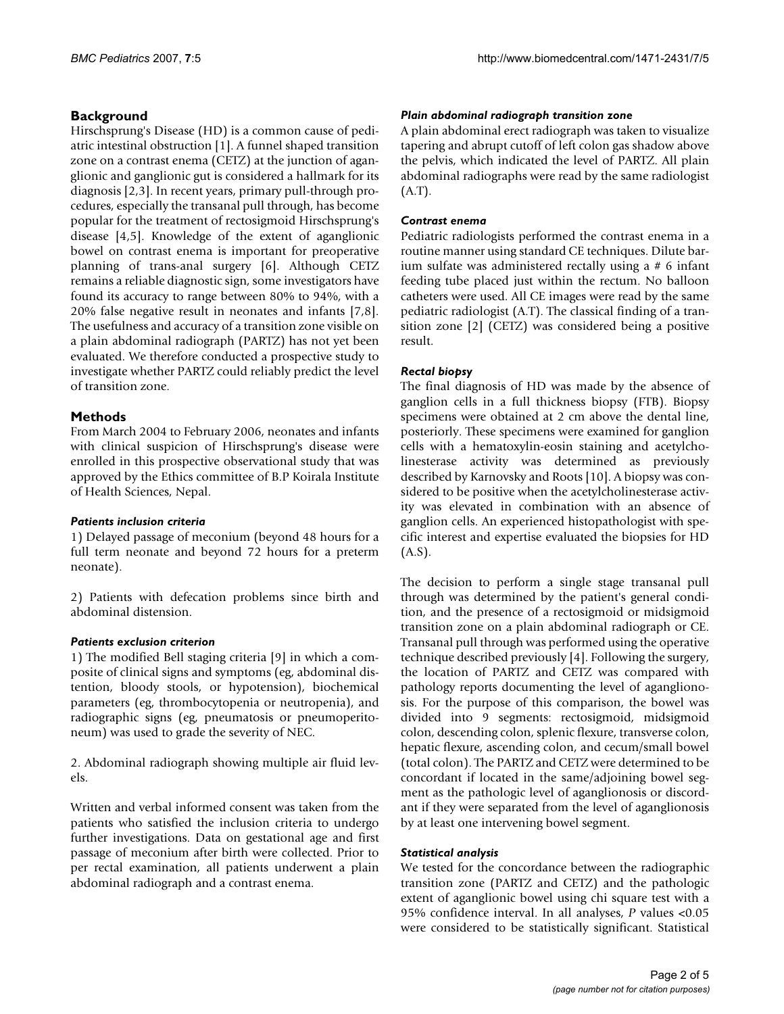#### **Background**

Hirschsprung's Disease (HD) is a common cause of pediatric intestinal obstruction [1]. A funnel shaped transition zone on a contrast enema (CETZ) at the junction of aganglionic and ganglionic gut is considered a hallmark for its diagnosis [2,3]. In recent years, primary pull-through procedures, especially the transanal pull through, has become popular for the treatment of rectosigmoid Hirschsprung's disease [4,5]. Knowledge of the extent of aganglionic bowel on contrast enema is important for preoperative planning of trans-anal surgery [6]. Although CETZ remains a reliable diagnostic sign, some investigators have found its accuracy to range between 80% to 94%, with a 20% false negative result in neonates and infants [7,8]. The usefulness and accuracy of a transition zone visible on a plain abdominal radiograph (PARTZ) has not yet been evaluated. We therefore conducted a prospective study to investigate whether PARTZ could reliably predict the level of transition zone.

#### **Methods**

From March 2004 to February 2006, neonates and infants with clinical suspicion of Hirschsprung's disease were enrolled in this prospective observational study that was approved by the Ethics committee of B.P Koirala Institute of Health Sciences, Nepal.

#### *Patients inclusion criteria*

1) Delayed passage of meconium (beyond 48 hours for a full term neonate and beyond 72 hours for a preterm neonate).

2) Patients with defecation problems since birth and abdominal distension.

#### *Patients exclusion criterion*

1) The modified Bell staging criteria [9] in which a composite of clinical signs and symptoms (eg, abdominal distention, bloody stools, or hypotension), biochemical parameters (eg, thrombocytopenia or neutropenia), and radiographic signs (eg, pneumatosis or pneumoperitoneum) was used to grade the severity of NEC.

2. Abdominal radiograph showing multiple air fluid levels.

Written and verbal informed consent was taken from the patients who satisfied the inclusion criteria to undergo further investigations. Data on gestational age and first passage of meconium after birth were collected. Prior to per rectal examination, all patients underwent a plain abdominal radiograph and a contrast enema.

#### *Plain abdominal radiograph transition zone*

A plain abdominal erect radiograph was taken to visualize tapering and abrupt cutoff of left colon gas shadow above the pelvis, which indicated the level of PARTZ. All plain abdominal radiographs were read by the same radiologist (A.T).

#### *Contrast enema*

Pediatric radiologists performed the contrast enema in a routine manner using standard CE techniques. Dilute barium sulfate was administered rectally using a # 6 infant feeding tube placed just within the rectum. No balloon catheters were used. All CE images were read by the same pediatric radiologist (A.T). The classical finding of a transition zone [2] (CETZ) was considered being a positive result.

#### *Rectal biopsy*

The final diagnosis of HD was made by the absence of ganglion cells in a full thickness biopsy (FTB). Biopsy specimens were obtained at 2 cm above the dental line, posteriorly. These specimens were examined for ganglion cells with a hematoxylin-eosin staining and acetylcholinesterase activity was determined as previously described by Karnovsky and Roots [10]. A biopsy was considered to be positive when the acetylcholinesterase activity was elevated in combination with an absence of ganglion cells. An experienced histopathologist with specific interest and expertise evaluated the biopsies for HD (A.S).

The decision to perform a single stage transanal pull through was determined by the patient's general condition, and the presence of a rectosigmoid or midsigmoid transition zone on a plain abdominal radiograph or CE. Transanal pull through was performed using the operative technique described previously [4]. Following the surgery, the location of PARTZ and CETZ was compared with pathology reports documenting the level of aganglionosis. For the purpose of this comparison, the bowel was divided into 9 segments: rectosigmoid, midsigmoid colon, descending colon, splenic flexure, transverse colon, hepatic flexure, ascending colon, and cecum/small bowel (total colon). The PARTZ and CETZ were determined to be concordant if located in the same/adjoining bowel segment as the pathologic level of aganglionosis or discordant if they were separated from the level of aganglionosis by at least one intervening bowel segment.

#### *Statistical analysis*

We tested for the concordance between the radiographic transition zone (PARTZ and CETZ) and the pathologic extent of aganglionic bowel using chi square test with a 95% confidence interval. In all analyses, *P* values <0.05 were considered to be statistically significant. Statistical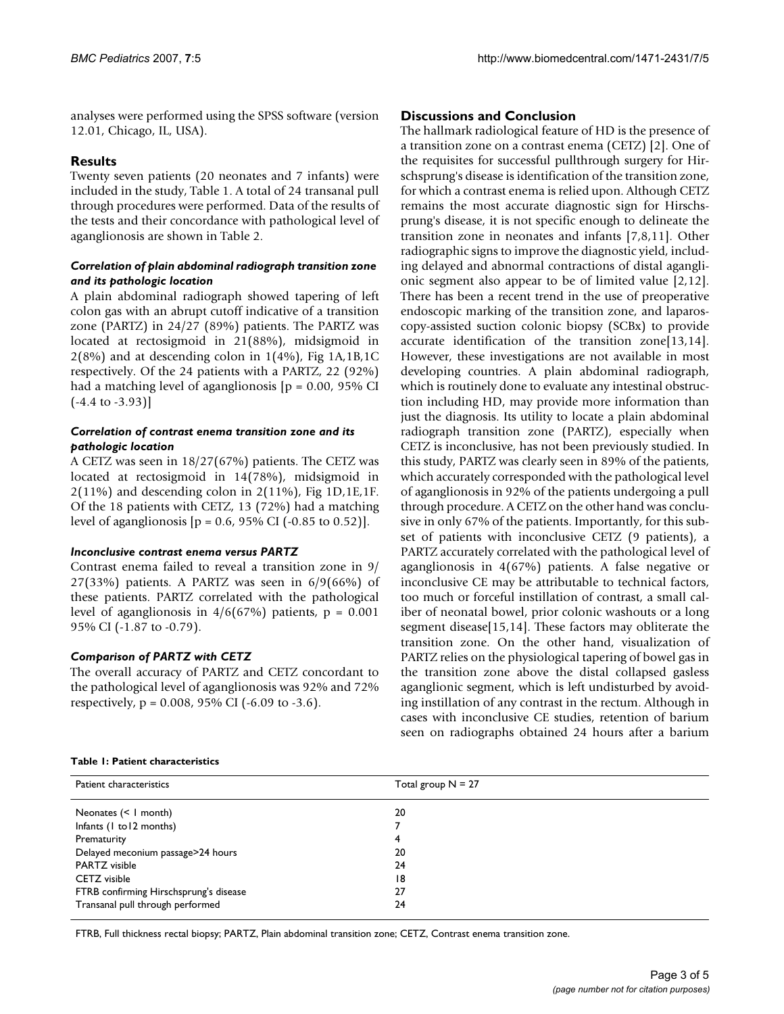analyses were performed using the SPSS software (version 12.01, Chicago, IL, USA).

### **Results**

Twenty seven patients (20 neonates and 7 infants) were included in the study, Table 1. A total of 24 transanal pull through procedures were performed. Data of the results of the tests and their concordance with pathological level of aganglionosis are shown in Table 2.

#### *Correlation of plain abdominal radiograph transition zone and its pathologic location*

A plain abdominal radiograph showed tapering of left colon gas with an abrupt cutoff indicative of a transition zone (PARTZ) in 24/27 (89%) patients. The PARTZ was located at rectosigmoid in 21(88%), midsigmoid in  $2(8\%)$  and at descending colon in  $1(4\%)$ , Fig  $1A$ ,  $1B$ ,  $1C$ respectively. Of the 24 patients with a PARTZ, 22 (92%) had a matching level of aganglionosis  $[p = 0.00, 95\% \text{ CI}]$ (-4.4 to -3.93)]

#### *Correlation of contrast enema transition zone and its pathologic location*

A CETZ was seen in 18/27(67%) patients. The CETZ was located at rectosigmoid in 14(78%), midsigmoid in  $2(11\%)$  and descending colon in  $2(11\%)$ , Fig  $1D<sub>1</sub>1E<sub>1</sub>F$ . Of the 18 patients with CETZ, 13 (72%) had a matching level of aganglionosis  $[p = 0.6, 95\% \text{ CI } (-0.85 \text{ to } 0.52)].$ 

#### *Inconclusive contrast enema versus PARTZ*

Contrast enema failed to reveal a transition zone in 9/ 27(33%) patients. A PARTZ was seen in 6/9(66%) of these patients. PARTZ correlated with the pathological level of aganglionosis in  $4/6(67%)$  patients,  $p = 0.001$ 95% CI (-1.87 to -0.79).

#### *Comparison of PARTZ with CETZ*

The overall accuracy of PARTZ and CETZ concordant to the pathological level of aganglionosis was 92% and 72% respectively,  $p = 0.008$ , 95% CI (-6.09 to -3.6).

### **Discussions and Conclusion**

The hallmark radiological feature of HD is the presence of a transition zone on a contrast enema (CETZ) [2]. One of the requisites for successful pullthrough surgery for Hirschsprung's disease is identification of the transition zone, for which a contrast enema is relied upon. Although CETZ remains the most accurate diagnostic sign for Hirschsprung's disease, it is not specific enough to delineate the transition zone in neonates and infants [7,8,11]. Other radiographic signs to improve the diagnostic yield, including delayed and abnormal contractions of distal aganglionic segment also appear to be of limited value [2,12]. There has been a recent trend in the use of preoperative endoscopic marking of the transition zone, and laparoscopy-assisted suction colonic biopsy (SCBx) to provide accurate identification of the transition zone[13,14]. However, these investigations are not available in most developing countries. A plain abdominal radiograph, which is routinely done to evaluate any intestinal obstruction including HD, may provide more information than just the diagnosis. Its utility to locate a plain abdominal radiograph transition zone (PARTZ), especially when CETZ is inconclusive, has not been previously studied. In this study, PARTZ was clearly seen in 89% of the patients, which accurately corresponded with the pathological level of aganglionosis in 92% of the patients undergoing a pull through procedure. A CETZ on the other hand was conclusive in only 67% of the patients. Importantly, for this subset of patients with inconclusive CETZ (9 patients), a PARTZ accurately correlated with the pathological level of aganglionosis in 4(67%) patients. A false negative or inconclusive CE may be attributable to technical factors, too much or forceful instillation of contrast, a small caliber of neonatal bowel, prior colonic washouts or a long segment disease[15,14]. These factors may obliterate the transition zone. On the other hand, visualization of PARTZ relies on the physiological tapering of bowel gas in the transition zone above the distal collapsed gasless aganglionic segment, which is left undisturbed by avoiding instillation of any contrast in the rectum. Although in cases with inconclusive CE studies, retention of barium seen on radiographs obtained 24 hours after a barium

#### **Table 1: Patient characteristics**

| Patient characteristics                | Total group $N = 27$ |
|----------------------------------------|----------------------|
| Neonates $(< 1$ month)                 | 20                   |
| Infants (1 to 12 months)               |                      |
| Prematurity                            | 4                    |
| Delayed meconium passage>24 hours      | 20                   |
| <b>PARTZ</b> visible                   | 24                   |
| CETZ visible                           | 18                   |
| FTRB confirming Hirschsprung's disease | 27                   |
| Transanal pull through performed       | 24                   |

FTRB, Full thickness rectal biopsy; PARTZ, Plain abdominal transition zone; CETZ, Contrast enema transition zone.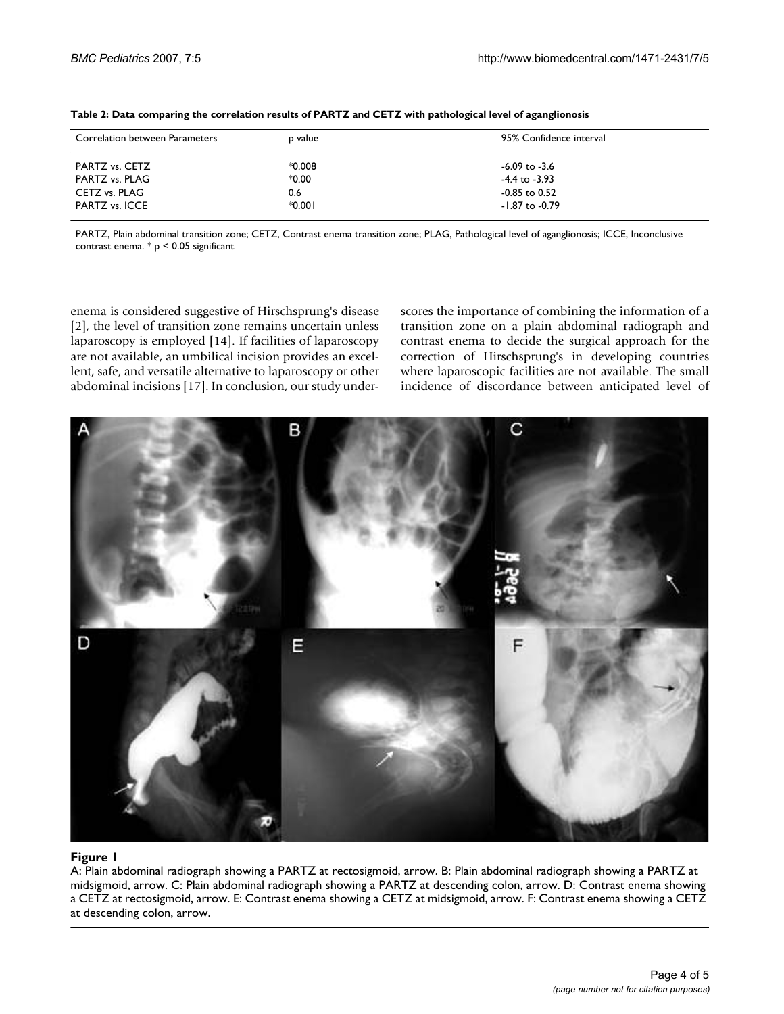| Correlation between Parameters | p value  | 95% Confidence interval |
|--------------------------------|----------|-------------------------|
| PARTZ vs. CETZ                 | $*0.008$ | $-6.09$ to $-3.6$       |
| PARTZ vs. PLAG                 | $*0.00$  | $-4.4$ to $-3.93$       |
| CETZ vs. PLAG                  | 0.6      | $-0.85$ to $0.52$       |
| PARTZ vs. ICCE                 | $*0.001$ | $-1.87$ to $-0.79$      |

|  | Table 2: Data comparing the correlation results of PARTZ and CETZ with pathological level of aganglionosis |
|--|------------------------------------------------------------------------------------------------------------|
|--|------------------------------------------------------------------------------------------------------------|

PARTZ, Plain abdominal transition zone; CETZ, Contrast enema transition zone; PLAG, Pathological level of aganglionosis; ICCE, Inconclusive contrast enema.  $*$   $p$  < 0.05 significant

enema is considered suggestive of Hirschsprung's disease [2], the level of transition zone remains uncertain unless laparoscopy is employed [14]. If facilities of laparoscopy are not available, an umbilical incision provides an excellent, safe, and versatile alternative to laparoscopy or other abdominal incisions [17]. In conclusion, our study underscores the importance of combining the information of a transition zone on a plain abdominal radiograph and contrast enema to decide the surgical approach for the correction of Hirschsprung's in developing countries where laparoscopic facilities are not available. The small incidence of discordance between anticipated level of



#### Figure 1

A: Plain abdominal radiograph showing a PARTZ at rectosigmoid, arrow. B: Plain abdominal radiograph showing a PARTZ at midsigmoid, arrow. C: Plain abdominal radiograph showing a PARTZ at descending colon, arrow. D: Contrast enema showing a CETZ at rectosigmoid, arrow. E: Contrast enema showing a CETZ at midsigmoid, arrow. F: Contrast enema showing a CETZ at descending colon, arrow.